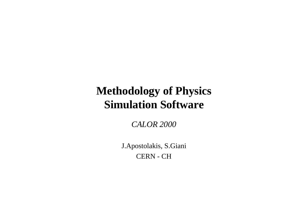### **Methodology of Physics Simulation Software**

*CALOR 2000*

J.Apostolakis, S.Giani CERN - CH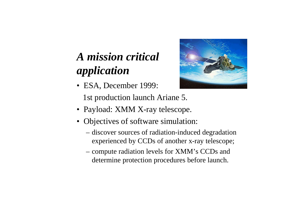# *A mission critical application*



- ESA, December 1999: 1st production launch Ariane 5.
- Payload: XMM X-ray telescope.
- Objectives of software simulation:
	- discover sources of radiation-induced degradation experienced by CCDs of another x-ray telescope;
	- compute radiation levels for XMM's CCDs and determine protection procedures before launch.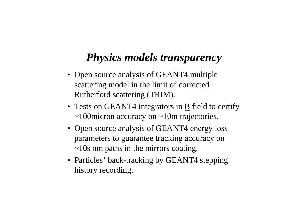## *Physics models transparency*

- Open source analysis of GEANT4 multiple scattering model in the limit of corrected Rutherford scattering (TRIM).
- Tests on GEANT4 integrators in  $\underline{B}$  field to certify ~100micron accuracy on ~10m trajectories.
- Open source analysis of GEANT4 energy loss parameters to guarantee tracking accuracy on ~10s nm paths in the mirrors coating.
- Particles' back-tracking by GEANT4 stepping history recording.

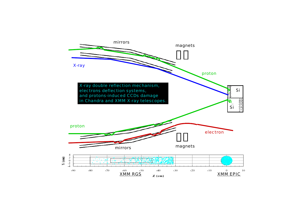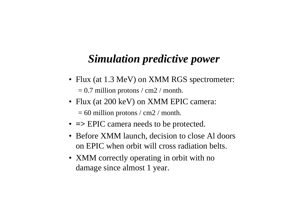## *Simulation predictive power*

- Flux (at 1.3 MeV) on XMM RGS spectrometer:  $= 0.7$  million protons / cm2 / month.
- Flux (at 200 keV) on XMM EPIC camera:  $= 60$  million protons / cm2 / month.
- **=>** EPIC camera needs to be protected.
- Before XMM launch, decision to close Al doors on EPIC when orbit will cross radiation belts.
- XMM correctly operating in orbit with no damage since almost 1 year.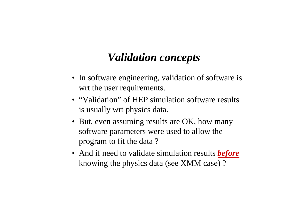## *Validation concepts*

- In software engineering, validation of software is wrt the user requirements.
- "Validation" of HEP simulation software results is usually wrt physics data.
- But, even assuming results are OK, how many software parameters were used to allow the program to fit the data ?
- And if need to validate simulation results *before* knowing the physics data (see XMM case) ?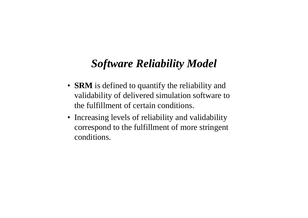## *Software Reliability Model*

- **SRM** is defined to quantify the reliability and validability of delivered simulation software to the fulfillment of certain conditions.
- Increasing levels of reliability and validability correspond to the fulfillment of more stringent conditions.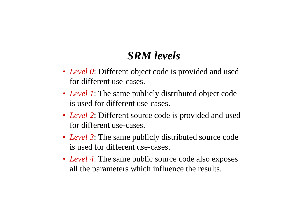## *SRM levels*

- *Level 0*: Different object code is provided and used for different use-cases.
- *Level 1*: The same publicly distributed object code is used for different use-cases.
- *Level 2*: Different source code is provided and used for different use-cases.
- *Level 3*: The same publicly distributed source code is used for different use-cases.
- *Level 4*: The same public source code also exposes all the parameters which influence the results.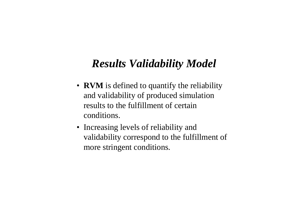## *Results Validability Model*

- **RVM** is defined to quantify the reliability and validability of produced simulation results to the fulfillment of certain conditions.
- Increasing levels of reliability and validability correspond to the fulfillment of more stringent conditions.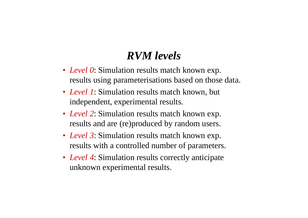## *RVM levels*

- *Level 0*: Simulation results match known exp. results using parameterisations based on those data.
- *Level 1*: Simulation results match known, but independent, experimental results.
- *Level 2*: Simulation results match known exp. results and are (re)produced by random users.
- *Level 3*: Simulation results match known exp. results with a controlled number of parameters.
- *Level 4*: Simulation results correctly anticipate unknown experimental results.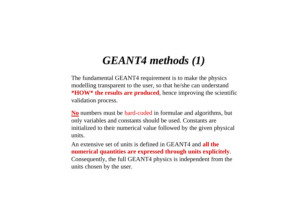## *GEANT4 methods (1)*

- The fundamental GEANT4 requirement is to make the physics modelling transparent to the user, so that he/she can understand **\*HOW\* the results are produced**, hence improving the scientific validation process.
- **No** numbers must be hard-coded in formulae and algorithms, but only variables and constants should be used. Constants are initialized to their numerical value followed by the given physical units.
- An extensive set of units is defined in GEANT4 and **all the numerical quantities are expressed through units explicitely**. Consequently, the full GEANT4 physics is independent from the units chosen by the user.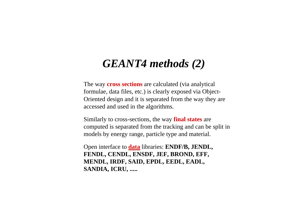### *GEANT4 methods (2)*

- The way **cross sections** are calculated (via analytical formulae, data files, etc.) is clearly exposed via Object-Oriented design and it is separated from the way they are accessed and used in the algorithms.
- Similarly to cross-sections, the way **final states** are computed is separated from the tracking and can be split in models by energy range, particle type and material.
- Open interface to **data** libraries: **ENDF/B, JENDL, FENDL, CENDL, ENSDF, JEF, BROND, EFF, MENDL, IRDF, SAID, EPDL, EEDL, EADL, SANDIA, ICRU, .....**